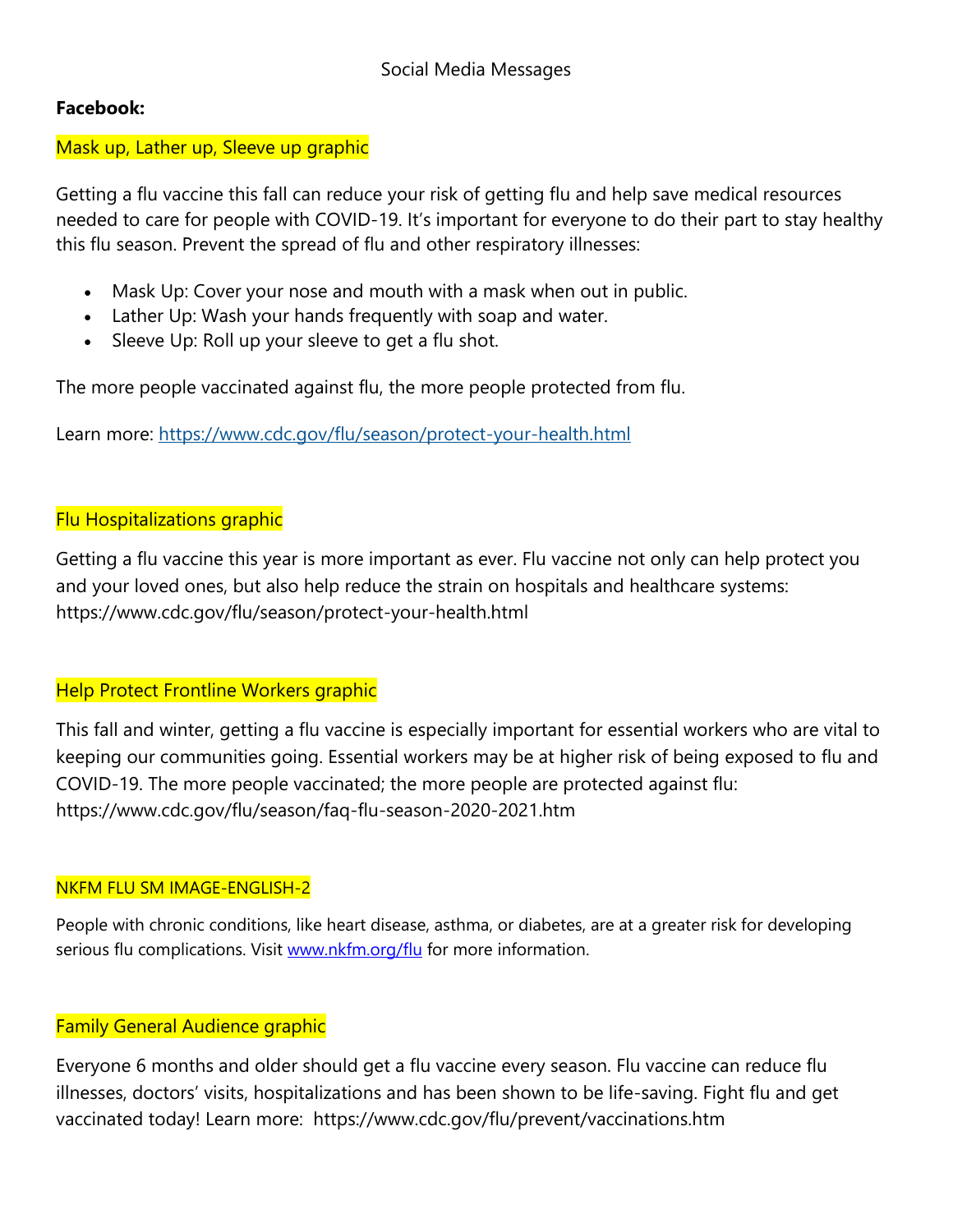## **Facebook:**

## Mask up, Lather up, Sleeve up graphic

Getting a flu vaccine this fall can reduce your risk of getting flu and help save medical resources needed to care for people with COVID-19. It's important for everyone to do their part to stay healthy this flu season. Prevent the spread of flu and other respiratory illnesses:

- Mask Up: Cover your nose and mouth with a mask when out in public.
- Lather Up: Wash your hands frequently with soap and water.
- Sleeve Up: Roll up your sleeve to get a flu shot.

The more people vaccinated against flu, the more people protected from flu.

Learn more: <https://www.cdc.gov/flu/season/protect-your-health.html>

## Flu Hospitalizations graphic

Getting a flu vaccine this year is more important as ever. Flu vaccine not only can help protect you and your loved ones, but also help reduce the strain on hospitals and healthcare systems: https://www.cdc.gov/flu/season/protect-your-health.html

### Help Protect Frontline Workers graphic

This fall and winter, getting a flu vaccine is especially important for essential workers who are vital to keeping our communities going. Essential workers may be at higher risk of being exposed to flu and COVID-19. The more people vaccinated; the more people are protected against flu: https://www.cdc.gov/flu/season/faq-flu-season-2020-2021.htm

### NKFM FLU SM IMAGE-ENGLISH-2

People with chronic conditions, like heart disease, asthma, or diabetes, are at a greater risk for developing serious flu complications. Visit [www.nkfm.org/flu](http://www.nkfm.org/flu) for more information.

## Family General Audience graphic

Everyone 6 months and older should get a flu vaccine every season. Flu vaccine can reduce flu illnesses, doctors' visits, hospitalizations and has been shown to be life-saving. Fight flu and get vaccinated today! Learn more: https://www.cdc.gov/flu/prevent/vaccinations.htm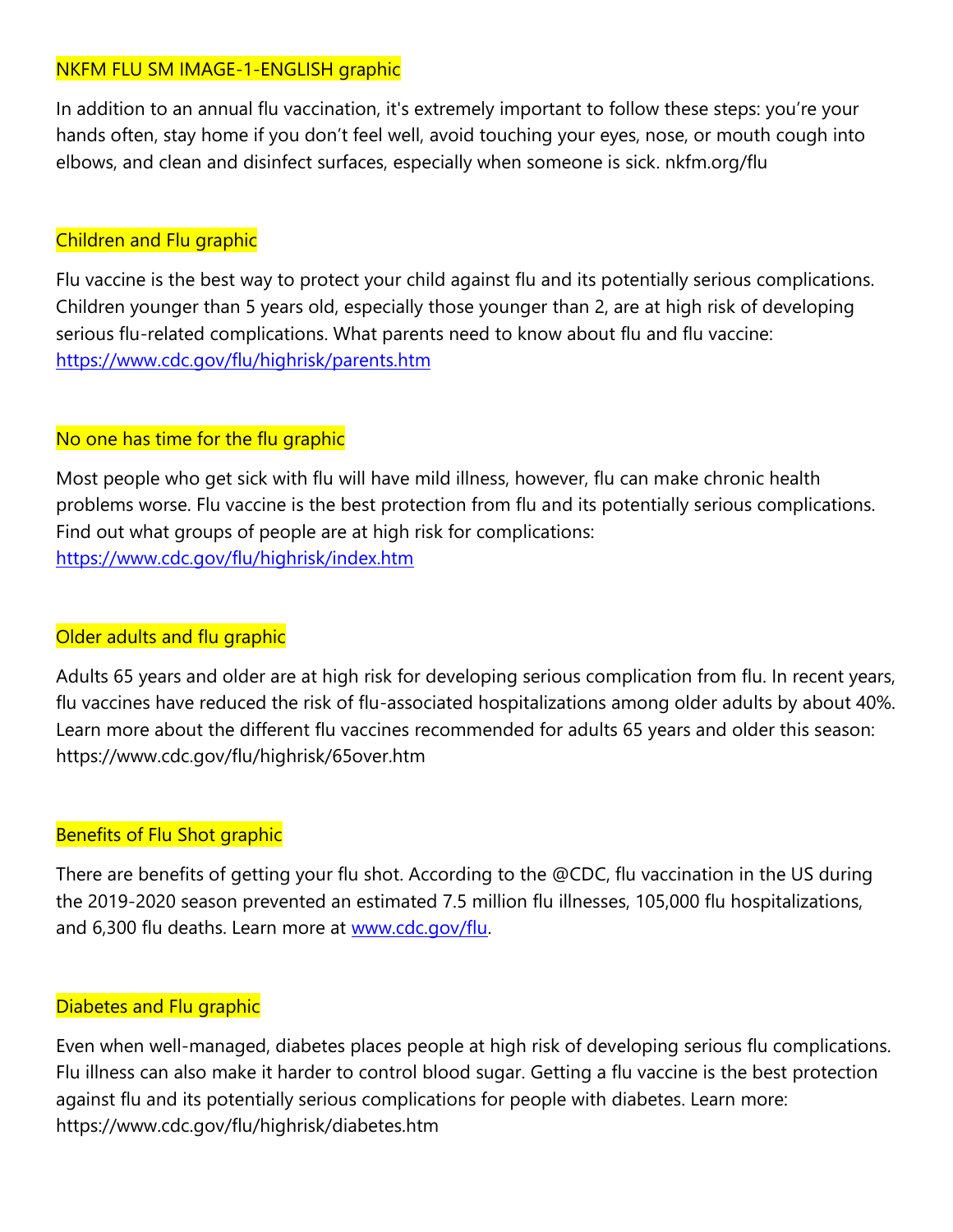# NKFM FLU SM IMAGE-1-ENGLISH graphic

In addition to an annual flu vaccination, it's extremely important to follow these steps: you're your hands often, stay home if you don't feel well, avoid touching your eyes, nose, or mouth cough into elbows, and clean and disinfect surfaces, especially when someone is sick. nkfm.org/flu

## Children and Flu graphic

Flu vaccine is the best way to protect your child against flu and its potentially serious complications. Children younger than 5 years old, especially those younger than 2, are at high risk of developing serious flu-related complications. What parents need to know about flu and flu vaccine: <https://www.cdc.gov/flu/highrisk/parents.htm>

# No one has time for the flu graphic

Most people who get sick with flu will have mild illness, however, flu can make chronic health problems worse. Flu vaccine is the best protection from flu and its potentially serious complications. Find out what groups of people are at high risk for complications: <https://www.cdc.gov/flu/highrisk/index.htm>

# Older adults and flu graphic

Adults 65 years and older are at high risk for developing serious complication from flu. In recent years, flu vaccines have reduced the risk of flu-associated hospitalizations among older adults by about 40%. Learn more about the different flu vaccines recommended for adults 65 years and older this season: https://www.cdc.gov/flu/highrisk/65over.htm

# Benefits of Flu Shot graphic

There are benefits of getting your flu shot. According to the @CDC, flu vaccination in the US during the 2019-2020 season prevented an estimated 7.5 million flu illnesses, 105,000 flu hospitalizations, and 6,300 flu deaths. Learn more at [www.cdc.gov/flu.](http://www.cdc.gov/flu)

# Diabetes and Flu graphic

Even when well-managed, diabetes places people at high risk of developing serious flu complications. Flu illness can also make it harder to control blood sugar. Getting a flu vaccine is the best protection against flu and its potentially serious complications for people with diabetes. Learn more: https://www.cdc.gov/flu/highrisk/diabetes.htm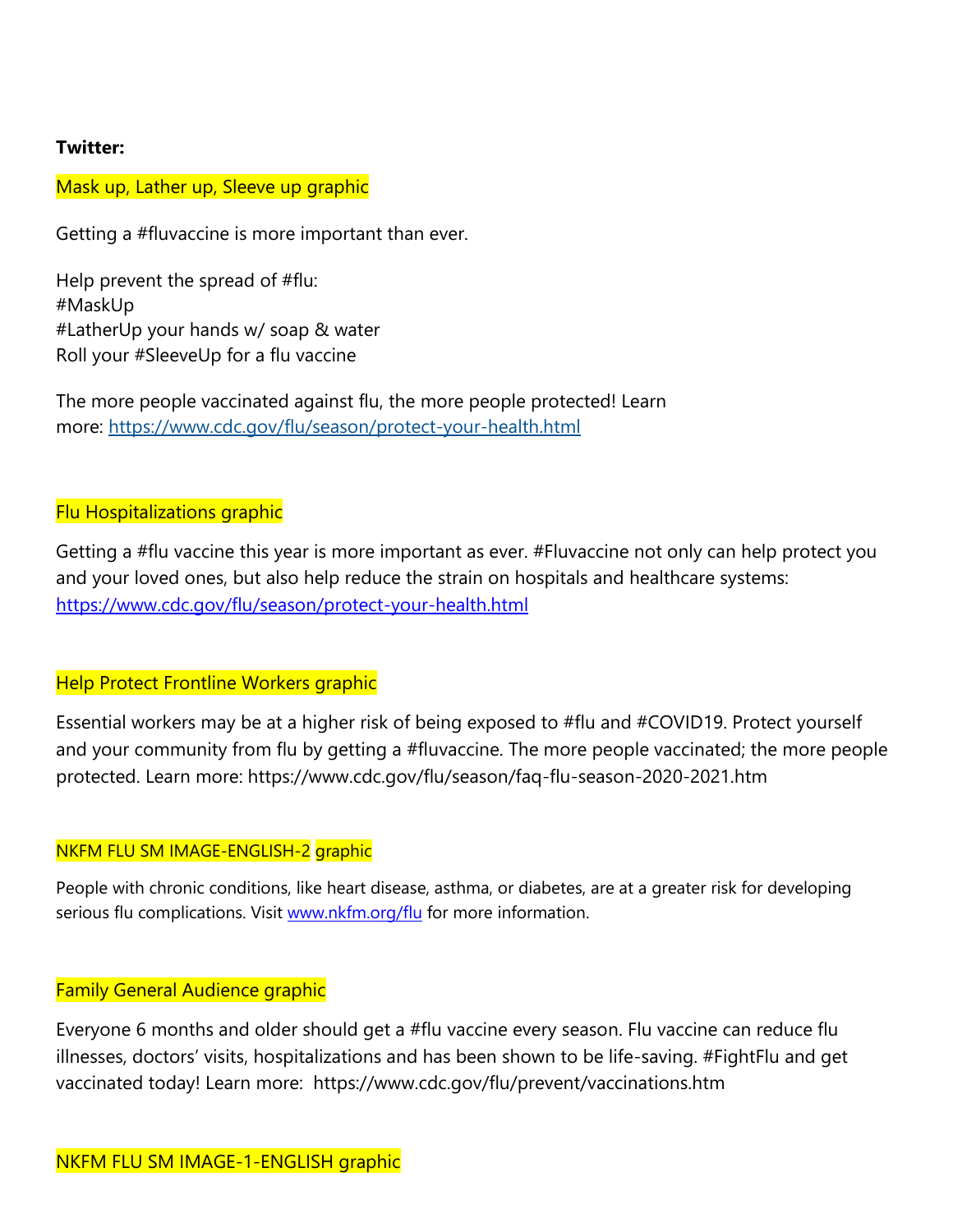## **Twitter:**

## Mask up, Lather up, Sleeve up graphic

Getting a #fluvaccine is more important than ever.

Help prevent the spread of #flu: #MaskUp #LatherUp your hands w/ soap & water Roll your #SleeveUp for a flu vaccine

The more people vaccinated against flu, the more people protected! Learn more: <https://www.cdc.gov/flu/season/protect-your-health.html>

### Flu Hospitalizations graphic

Getting a #flu vaccine this year is more important as ever. #Fluvaccine not only can help protect you and your loved ones, but also help reduce the strain on hospitals and healthcare systems: <https://www.cdc.gov/flu/season/protect-your-health.html>

### Help Protect Frontline Workers graphic

Essential workers may be at a higher risk of being exposed to #flu and #COVID19. Protect yourself and your community from flu by getting a #fluvaccine. The more people vaccinated; the more people protected. Learn more: https://www.cdc.gov/flu/season/faq-flu-season-2020-2021.htm

### NKFM FLU SM IMAGE-ENGLISH-2 graphic

People with chronic conditions, like heart disease, asthma, or diabetes, are at a greater risk for developing serious flu complications. Visit [www.nkfm.org/flu](http://www.nkfm.org/flu) for more information.

### Family General Audience graphic

Everyone 6 months and older should get a #flu vaccine every season. Flu vaccine can reduce flu illnesses, doctors' visits, hospitalizations and has been shown to be life-saving. #FightFlu and get vaccinated today! Learn more: https://www.cdc.gov/flu/prevent/vaccinations.htm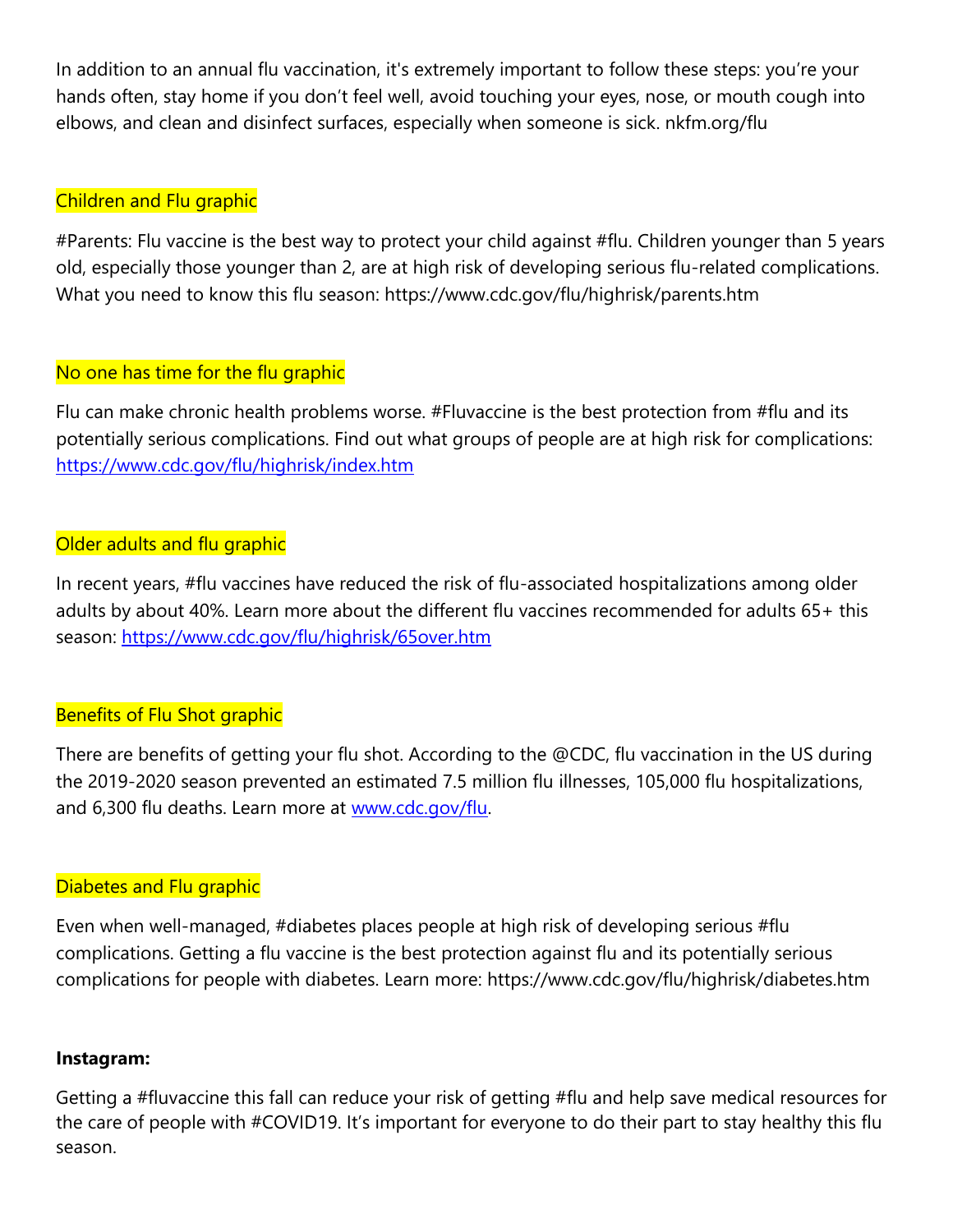In addition to an annual flu vaccination, it's extremely important to follow these steps: you're your hands often, stay home if you don't feel well, avoid touching your eyes, nose, or mouth cough into elbows, and clean and disinfect surfaces, especially when someone is sick. nkfm.org/flu

# Children and Flu graphic

#Parents: Flu vaccine is the best way to protect your child against #flu. Children younger than 5 years old, especially those younger than 2, are at high risk of developing serious flu-related complications. What you need to know this flu season: https://www.cdc.gov/flu/highrisk/parents.htm

# No one has time for the flu graphic

Flu can make chronic health problems worse. #Fluvaccine is the best protection from #flu and its potentially serious complications. Find out what groups of people are at high risk for complications: <https://www.cdc.gov/flu/highrisk/index.htm>

# Older adults and flu graphic

In recent years, #flu vaccines have reduced the risk of flu-associated hospitalizations among older adults by about 40%. Learn more about the different flu vaccines recommended for adults 65+ this season:<https://www.cdc.gov/flu/highrisk/65over.htm>

# Benefits of Flu Shot graphic

There are benefits of getting your flu shot. According to the @CDC, flu vaccination in the US during the 2019-2020 season prevented an estimated 7.5 million flu illnesses, 105,000 flu hospitalizations, and 6,300 flu deaths. Learn more at [www.cdc.gov/flu.](http://www.cdc.gov/flu)

# Diabetes and Flu graphic

Even when well-managed, #diabetes places people at high risk of developing serious #flu complications. Getting a flu vaccine is the best protection against flu and its potentially serious complications for people with diabetes. Learn more: https://www.cdc.gov/flu/highrisk/diabetes.htm

# **Instagram:**

Getting a #fluvaccine this fall can reduce your risk of getting #flu and help save medical resources for the care of people with #COVID19. It's important for everyone to do their part to stay healthy this flu season.